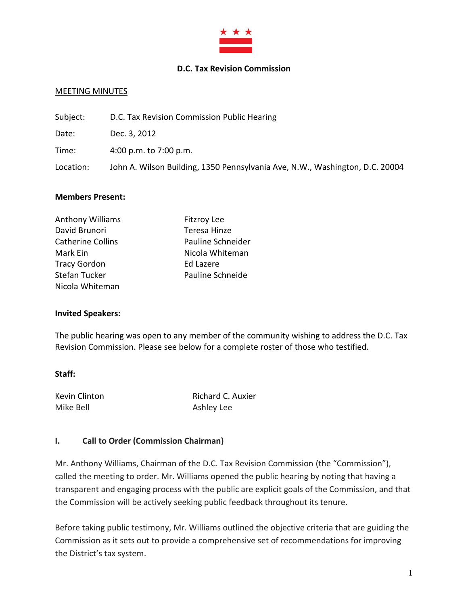

#### **D.C. Tax Revision Commission**

#### MEETING MINUTES

Subject: D.C. Tax Revision Commission Public Hearing Date: Dec. 3, 2012 Time: 4:00 p.m. to 7:00 p.m. Location: John A. Wilson Building, 1350 Pennsylvania Ave, N.W., Washington, D.C. 20004

#### **Members Present:**

| <b>Anthony Williams</b>  | <b>Fitzroy Lee</b> |
|--------------------------|--------------------|
| David Brunori            | Teresa Hinze       |
| <b>Catherine Collins</b> | Pauline Schneider  |
| Mark Ein                 | Nicola Whiteman    |
| <b>Tracy Gordon</b>      | Ed Lazere          |
| Stefan Tucker            | Pauline Schneide   |
| Nicola Whiteman          |                    |

#### **Invited Speakers:**

The public hearing was open to any member of the community wishing to address the D.C. Tax Revision Commission. Please see below for a complete roster of those who testified.

#### **Staff:**

Mike Bell **Ashley Lee** 

Kevin Clinton **Richard C. Auxier** 

#### **I. Call to Order (Commission Chairman)**

Mr. Anthony Williams, Chairman of the D.C. Tax Revision Commission (the "Commission"), called the meeting to order. Mr. Williams opened the public hearing by noting that having a transparent and engaging process with the public are explicit goals of the Commission, and that the Commission will be actively seeking public feedback throughout its tenure.

Before taking public testimony, Mr. Williams outlined the objective criteria that are guiding the Commission as it sets out to provide a comprehensive set of recommendations for improving the District's tax system.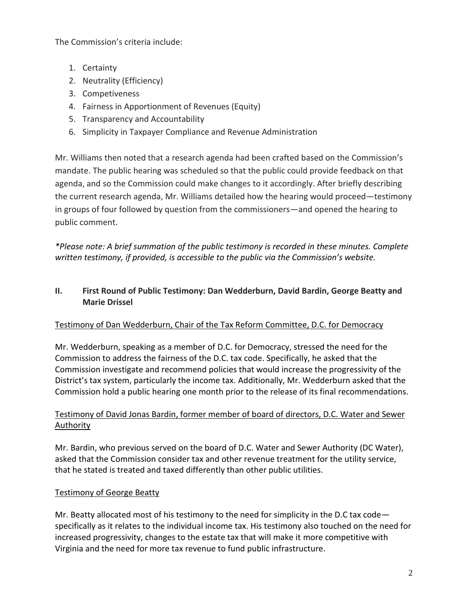The Commission's criteria include:

- 1. Certainty
- 2. Neutrality (Efficiency)
- 3. Competiveness
- 4. Fairness in Apportionment of Revenues (Equity)
- 5. Transparency and Accountability
- 6. Simplicity in Taxpayer Compliance and Revenue Administration

Mr. Williams then noted that a research agenda had been crafted based on the Commission's mandate. The public hearing was scheduled so that the public could provide feedback on that agenda, and so the Commission could make changes to it accordingly. After briefly describing the current research agenda, Mr. Williams detailed how the hearing would proceed—testimony in groups of four followed by question from the commissioners—and opened the hearing to public comment.

*\*Please note: A brief summation of the public testimony is recorded in these minutes. Complete written testimony, if provided, is accessible to the public via the Commission's website.* 

# **II. First Round of Public Testimony: Dan Wedderburn, David Bardin, George Beatty and Marie Drissel**

# Testimony of Dan Wedderburn, Chair of the Tax Reform Committee, D.C. for Democracy

Mr. Wedderburn, speaking as a member of D.C. for Democracy, stressed the need for the Commission to address the fairness of the D.C. tax code. Specifically, he asked that the Commission investigate and recommend policies that would increase the progressivity of the District's tax system, particularly the income tax. Additionally, Mr. Wedderburn asked that the Commission hold a public hearing one month prior to the release of its final recommendations.

# Testimony of David Jonas Bardin, former member of board of directors, D.C. Water and Sewer Authority

Mr. Bardin, who previous served on the board of D.C. Water and Sewer Authority (DC Water), asked that the Commission consider tax and other revenue treatment for the utility service, that he stated is treated and taxed differently than other public utilities.

# Testimony of George Beatty

Mr. Beatty allocated most of his testimony to the need for simplicity in the D.C tax code specifically as it relates to the individual income tax. His testimony also touched on the need for increased progressivity, changes to the estate tax that will make it more competitive with Virginia and the need for more tax revenue to fund public infrastructure.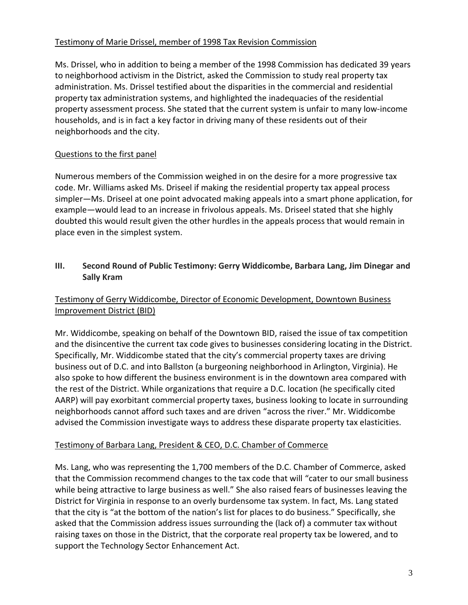### Testimony of Marie Drissel, member of 1998 Tax Revision Commission

Ms. Drissel, who in addition to being a member of the 1998 Commission has dedicated 39 years to neighborhood activism in the District, asked the Commission to study real property tax administration. Ms. Drissel testified about the disparities in the commercial and residential property tax administration systems, and highlighted the inadequacies of the residential property assessment process. She stated that the current system is unfair to many low-income households, and is in fact a key factor in driving many of these residents out of their neighborhoods and the city.

## Questions to the first panel

Numerous members of the Commission weighed in on the desire for a more progressive tax code. Mr. Williams asked Ms. Driseel if making the residential property tax appeal process simpler—Ms. Driseel at one point advocated making appeals into a smart phone application, for example—would lead to an increase in frivolous appeals. Ms. Driseel stated that she highly doubted this would result given the other hurdles in the appeals process that would remain in place even in the simplest system.

## **III. Second Round of Public Testimony: Gerry Widdicombe, Barbara Lang, Jim Dinegar and Sally Kram**

# Testimony of Gerry Widdicombe, Director of Economic Development, Downtown Business Improvement District (BID)

Mr. Widdicombe, speaking on behalf of the Downtown BID, raised the issue of tax competition and the disincentive the current tax code gives to businesses considering locating in the District. Specifically, Mr. Widdicombe stated that the city's commercial property taxes are driving business out of D.C. and into Ballston (a burgeoning neighborhood in Arlington, Virginia). He also spoke to how different the business environment is in the downtown area compared with the rest of the District. While organizations that require a D.C. location (he specifically cited AARP) will pay exorbitant commercial property taxes, business looking to locate in surrounding neighborhoods cannot afford such taxes and are driven "across the river." Mr. Widdicombe advised the Commission investigate ways to address these disparate property tax elasticities.

## Testimony of Barbara Lang, President & CEO, D.C. Chamber of Commerce

Ms. Lang, who was representing the 1,700 members of the D.C. Chamber of Commerce, asked that the Commission recommend changes to the tax code that will "cater to our small business while being attractive to large business as well." She also raised fears of businesses leaving the District for Virginia in response to an overly burdensome tax system. In fact, Ms. Lang stated that the city is "at the bottom of the nation's list for places to do business." Specifically, she asked that the Commission address issues surrounding the (lack of) a commuter tax without raising taxes on those in the District, that the corporate real property tax be lowered, and to support the Technology Sector Enhancement Act.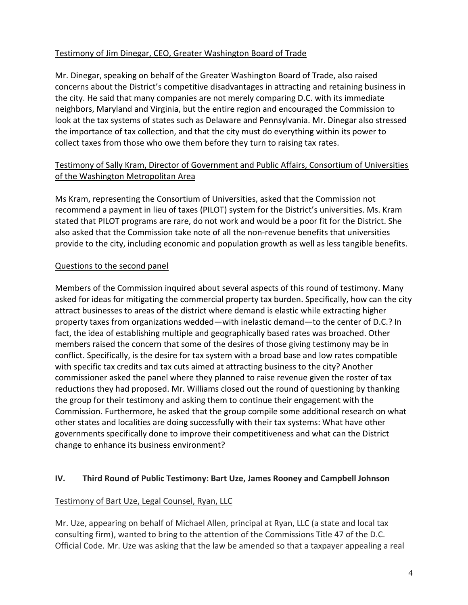### Testimony of Jim Dinegar, CEO, Greater Washington Board of Trade

Mr. Dinegar, speaking on behalf of the Greater Washington Board of Trade, also raised concerns about the District's competitive disadvantages in attracting and retaining business in the city. He said that many companies are not merely comparing D.C. with its immediate neighbors, Maryland and Virginia, but the entire region and encouraged the Commission to look at the tax systems of states such as Delaware and Pennsylvania. Mr. Dinegar also stressed the importance of tax collection, and that the city must do everything within its power to collect taxes from those who owe them before they turn to raising tax rates.

### Testimony of Sally Kram, Director of Government and Public Affairs, Consortium of Universities of the Washington Metropolitan Area

Ms Kram, representing the Consortium of Universities, asked that the Commission not recommend a payment in lieu of taxes (PILOT) system for the District's universities. Ms. Kram stated that PILOT programs are rare, do not work and would be a poor fit for the District. She also asked that the Commission take note of all the non-revenue benefits that universities provide to the city, including economic and population growth as well as less tangible benefits.

### Questions to the second panel

Members of the Commission inquired about several aspects of this round of testimony. Many asked for ideas for mitigating the commercial property tax burden. Specifically, how can the city attract businesses to areas of the district where demand is elastic while extracting higher property taxes from organizations wedded—with inelastic demand—to the center of D.C.? In fact, the idea of establishing multiple and geographically based rates was broached. Other members raised the concern that some of the desires of those giving testimony may be in conflict. Specifically, is the desire for tax system with a broad base and low rates compatible with specific tax credits and tax cuts aimed at attracting business to the city? Another commissioner asked the panel where they planned to raise revenue given the roster of tax reductions they had proposed. Mr. Williams closed out the round of questioning by thanking the group for their testimony and asking them to continue their engagement with the Commission. Furthermore, he asked that the group compile some additional research on what other states and localities are doing successfully with their tax systems: What have other governments specifically done to improve their competitiveness and what can the District change to enhance its business environment?

#### **IV. Third Round of Public Testimony: Bart Uze, James Rooney and Campbell Johnson**

#### Testimony of Bart Uze, Legal Counsel, Ryan, LLC

Mr. Uze, appearing on behalf of Michael Allen, principal at Ryan, LLC (a state and local tax consulting firm), wanted to bring to the attention of the Commissions Title 47 of the D.C. Official Code. Mr. Uze was asking that the law be amended so that a taxpayer appealing a real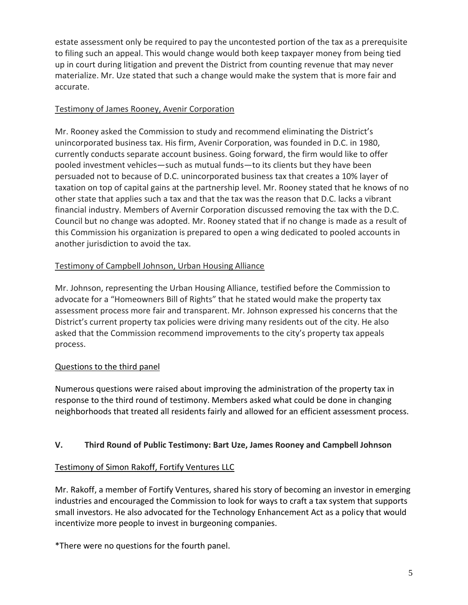estate assessment only be required to pay the uncontested portion of the tax as a prerequisite to filing such an appeal. This would change would both keep taxpayer money from being tied up in court during litigation and prevent the District from counting revenue that may never materialize. Mr. Uze stated that such a change would make the system that is more fair and accurate.

## Testimony of James Rooney, Avenir Corporation

Mr. Rooney asked the Commission to study and recommend eliminating the District's unincorporated business tax. His firm, Avenir Corporation, was founded in D.C. in 1980, currently conducts separate account business. Going forward, the firm would like to offer pooled investment vehicles—such as mutual funds—to its clients but they have been persuaded not to because of D.C. unincorporated business tax that creates a 10% layer of taxation on top of capital gains at the partnership level. Mr. Rooney stated that he knows of no other state that applies such a tax and that the tax was the reason that D.C. lacks a vibrant financial industry. Members of Avernir Corporation discussed removing the tax with the D.C. Council but no change was adopted. Mr. Rooney stated that if no change is made as a result of this Commission his organization is prepared to open a wing dedicated to pooled accounts in another jurisdiction to avoid the tax.

### Testimony of Campbell Johnson, Urban Housing Alliance

Mr. Johnson, representing the Urban Housing Alliance, testified before the Commission to advocate for a "Homeowners Bill of Rights" that he stated would make the property tax assessment process more fair and transparent. Mr. Johnson expressed his concerns that the District's current property tax policies were driving many residents out of the city. He also asked that the Commission recommend improvements to the city's property tax appeals process.

#### Questions to the third panel

Numerous questions were raised about improving the administration of the property tax in response to the third round of testimony. Members asked what could be done in changing neighborhoods that treated all residents fairly and allowed for an efficient assessment process.

## **V. Third Round of Public Testimony: Bart Uze, James Rooney and Campbell Johnson**

#### Testimony of Simon Rakoff, Fortify Ventures LLC

Mr. Rakoff, a member of Fortify Ventures, shared his story of becoming an investor in emerging industries and encouraged the Commission to look for ways to craft a tax system that supports small investors. He also advocated for the Technology Enhancement Act as a policy that would incentivize more people to invest in burgeoning companies.

\*There were no questions for the fourth panel.